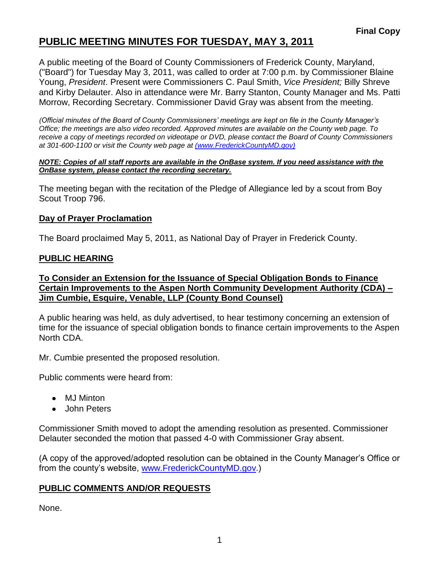## **PUBLIC MEETING MINUTES FOR TUESDAY, MAY 3, 2011**

A public meeting of the Board of County Commissioners of Frederick County, Maryland, ("Board") for Tuesday May 3, 2011, was called to order at 7:00 p.m. by Commissioner Blaine Young, *President*. Present were Commissioners C. Paul Smith, *Vice President;* Billy Shreve and Kirby Delauter. Also in attendance were Mr. Barry Stanton, County Manager and Ms. Patti Morrow, Recording Secretary. Commissioner David Gray was absent from the meeting.

*(Official minutes of the Board of County Commissioners' meetings are kept on file in the County Manager's Office; the meetings are also video recorded. Approved minutes are available on the County web page. To receive a copy of meetings recorded on videotape or DVD, please contact the Board of County Commissioners at 301-600-1100 or visit the County web page at [\(www.FrederickCountyMD.gov\)](file://NT1S5/BOCC/BOCC/BOCC%20Minutes/Patti)*

#### *NOTE: Copies of all staff reports are available in the OnBase system. If you need assistance with the OnBase system, please contact the recording secretary.*

The meeting began with the recitation of the Pledge of Allegiance led by a scout from Boy Scout Troop 796.

#### **Day of Prayer Proclamation**

The Board proclaimed May 5, 2011, as National Day of Prayer in Frederick County.

#### **PUBLIC HEARING**

#### **To Consider an Extension for the Issuance of Special Obligation Bonds to Finance Certain Improvements to the Aspen North Community Development Authority (CDA) – Jim Cumbie, Esquire, Venable, LLP (County Bond Counsel)**

A public hearing was held, as duly advertised, to hear testimony concerning an extension of time for the issuance of special obligation bonds to finance certain improvements to the Aspen North CDA.

Mr. Cumbie presented the proposed resolution.

Public comments were heard from:

- MJ Minton
- John Peters

Commissioner Smith moved to adopt the amending resolution as presented. Commissioner Delauter seconded the motion that passed 4-0 with Commissioner Gray absent.

(A copy of the approved/adopted resolution can be obtained in the County Manager's Office or from the county's website, [www.FrederickCountyMD.gov.](http://www.frederickcountymd.gov/))

### **PUBLIC COMMENTS AND/OR REQUESTS**

None.